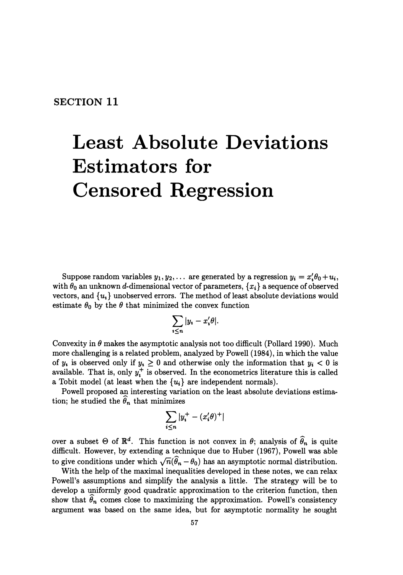# **Least Absolute Deviations Estimators for Censored Regression**

Suppose random variables  $y_1, y_2, \ldots$  are generated by a regression  $y_i = x'_i \theta_0 + u_i$ , with  $\theta_0$  an unknown d-dimensional vector of parameters,  $\{x_i\}$  a sequence of observed vectors, and  $\{u_i\}$  unobserved errors. The method of least absolute deviations would estimate  $\theta_0$  by the  $\theta$  that minimized the convex function

$$
\sum_{i\leq n}|y_i-x_i'\theta|
$$

Convexity in  $\theta$  makes the asymptotic analysis not too difficult (Pollard 1990). Much more challenging is a related problem, analyzed by Powell (1984), in which the value of  $y_i$  is observed only if  $y_i \geq 0$  and otherwise only the information that  $y_i < 0$  is available. That is, only  $y_i^+$  is observed. In the econometrics literature this is called a Tobit model (at least when the  $\{u_i\}$  are independent normals).

Powell proposed an interesting variation on the least absolute deviations estimation; he studied the  $\hat{\theta}_n$  that minimizes

$$
\sum_{i\leq n}|y_i^+-(x_i'\theta)^+|
$$

over a subset  $\Theta$  of  $\mathbb{R}^d$ . This function is not convex in  $\theta$ ; analysis of  $\widehat{\theta}_n$  is quite difficult. However, by extending a technique due to Huber (1967), Powell was able to give conditions under which  $\sqrt{n}(\hat{\theta}_n - \theta_0)$  has an asymptotic normal distribution.

With the help of the maximal inequalities developed in these notes, we can relax Powell's assumptions and simplify the analysis a little. The strategy will be to develop a uniformly good quadratic approximation to the criterion function, then show that  $\hat{\theta}_n$  comes close to maximizing the approximation. Powell's consistency argument was based on the same idea, but for asymptotic normality he sought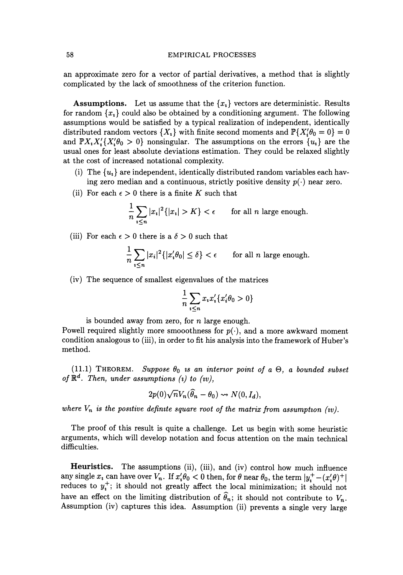an approximate zero for a vector of partial derivatives, a method that is slightly complicated by the lack of smoothness of the criterion function.

**Assumptions.** Let us assume that the  $\{x_i\}$  vectors are deterministic. Results for random  $\{x_i\}$  could also be obtained by a conditioning argument. The following assumptions would be satisfied by a typical realization of independent, identically distributed random vectors  $\{X_i\}$  with finite second moments and  $\mathbb{P}\{X_i'\theta_0=0\}=0$ and  $\mathbb{P}X_iX_i'\{X_i'\theta_0 > 0\}$  nonsingular. The assumptions on the errors  $\{u_i\}$  are the usual ones for least absolute deviations estimation. They could be relaxed slightly at the cost of increased notational complexity.

- (i) The  ${u_i}$  are independent, identically distributed random variables each having zero median and a continuous, strictly positive density  $p(\cdot)$  near zero.
- (ii) For each  $\epsilon > 0$  there is a finite K such that

$$
\frac{1}{n}\sum_{i\leq n}|x_i|^2\{|x_i|>K\}<\epsilon\qquad\text{for all }n\text{ large enough}.
$$

(iii) For each  $\epsilon > 0$  there is a  $\delta > 0$  such that

$$
\frac{1}{n}\sum_{i\leq n}|x_i|^2\{|x_i'\theta_0|\leq \delta\}<\epsilon\qquad\text{for all }n\text{ large enough.}
$$

(iv) The sequence of smallest eigenvalues of the matrices

$$
\frac{1}{n}\sum_{i\leq n}x_ix_i'\{x_i'\theta_0>0\}
$$

is bounded away from zero, for *n* large enough.

Powell required slightly more smooothness for  $p(\cdot)$ , and a more awkward moment condition analogous to (iii), in order to fit his analysis into the framework of Huber's method.

(11.1) **THEOREM.** *Suppose*  $\theta_0$  *is an interior point of a*  $\Theta$ , *a bounded subset* of  $\mathbb{R}^d$ . Then, under assumptions (i) to (iv),

$$
2p(0)\sqrt{n}V_n(\hat{\theta}_n-\theta_0)\rightsquigarrow N(0,I_d),
$$

where  $V_n$  is the positive definite square root of the matrix from assumption (*w*).

The proof of this result is quite a challenge. Let us begin with some heuristic arguments, which will develop notation and focus attention on the main technical difficulties.

**Heuristics.** The assumptions (ii), (iii), and (iv) control how much influence any single  $x_i$  can have over  $V_n$ . If  $x'_i \theta_0 < 0$  then, for  $\theta$  near  $\theta_0$ , the term  $|y_i^+ - (x'_i \theta)^+|$ reduces to  $y_i^+$ ; it should not greatly affect the local minimization; it should not have an effect on the limiting distribution of  $\hat{\theta}_n$ ; it should not contribute to  $V_n$ . Assumption (iv) captures this idea. Assumption (ii) prevents a single very large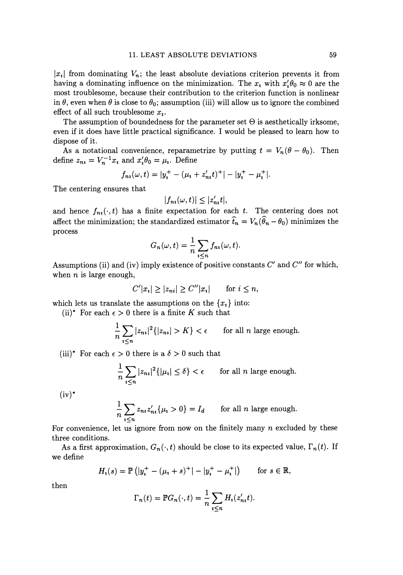$|x_i|$  from dominating  $V_n$ ; the least absolute deviations criterion prevents it from having a dominating influence on the minimization. The  $x_i$  with  $x'_i \theta_0 \approx 0$  are the most troublesome, because their contribution to the criterion function is nonlinear in  $\theta$ , even when  $\theta$  is close to  $\theta_0$ ; assumption (iii) will allow us to ignore the combined effect of all such troublesome *x,.* 

The assumption of boundedness for the parameter set  $\Theta$  is aesthetically irksome, even if it does have little practical significance. I would be pleased to learn how to dispose of it.

As a notational convenience, reparametrize by putting  $t = V_n(\theta - \theta_0)$ . Then define  $z_{ni} = V_n^{-1}x_i$  and  $x_i' \theta_0 = \mu_i$ . Define

$$
f_{ni}(\omega, t) = |y_i^+ - (\mu_i + z'_{ni}t)^+| - |y_i^+ - \mu_i^+|.
$$

The centering ensures that

$$
|f_{ni}(\omega, t)| \leq |z'_{ni}t|,
$$

and hence  $f_{ni}(\cdot, t)$  has a finite expectation for each *t*. The centering does not affect the minimization; the standardized estimator  $\hat{t}_n = V_n(\hat{\theta}_n - \theta_0)$  minimizes the process

$$
G_n(\omega, t) = \frac{1}{n} \sum_{i \leq n} f_{ni}(\omega, t).
$$

Assumptions (ii) and (iv) imply existence of positive constants *C'* and *C"* for which, when *n* is large enough,

$$
C'|x_i| \ge |z_{ni}| \ge C''|x_i| \qquad \text{for } i \le n,
$$

which lets us translate the assumptions on the  $\{x_i\}$  into:

(ii)\* For each  $\epsilon > 0$  there is a finite K such that

$$
\frac{1}{n}\sum_{i\leq n}|z_{ni}|^2\{|z_{ni}|>K\}<\epsilon\qquad\text{for all }n\text{ large enough.}
$$

(iii)<sup>\*</sup> For each  $\epsilon > 0$  there is a  $\delta > 0$  such that

$$
\frac{1}{n}\sum_{i\leq n}|z_{ni}|^2\{|\mu_i|\leq \delta\} < \epsilon \qquad \text{for all } n \text{ large enough.}
$$

 $(iv)^*$ 

$$
\frac{1}{n}\sum_{i\leq n} z_{ni} z'_{ni} \{\mu_i > 0\} = I_d \quad \text{for all } n \text{ large enough.}
$$

For convenience, let us ignore from now on the finitely many *n* excluded by these three conditions.

As a first approximation,  $G_n(\cdot, t)$  should be close to its expected value,  $\Gamma_n(t)$ . If we define

$$
H_i(s) = \mathbb{P}\left(|y_i^+ - (\mu_i + s)^+| - |y_i^+ - \mu_i^+|\right) \quad \text{for } s \in \mathbb{R},
$$

then

$$
\Gamma_n(t) = \mathbb{P}G_n(\cdot, t) = \frac{1}{n} \sum_{i \leq n} H_i(z'_{n}, t).
$$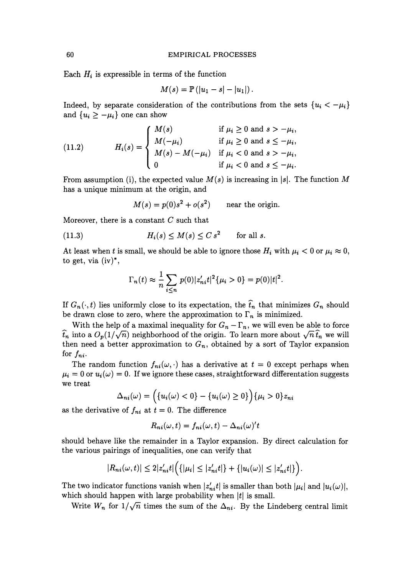Each  $H_i$  is expressible in terms of the function

$$
M(s) = \mathbb{P}\left(|u_1-s| - |u_1|\right).
$$

Indeed, by separate consideration of the contributions from the sets  $\{u_i < -\mu_i\}$ and  $\{u_i \geq -\mu_i\}$  one can show

(11.2) 
$$
H_i(s) = \begin{cases} M(s) & \text{if } \mu_i \ge 0 \text{ and } s > -\mu_i, \\ M(-\mu_i) & \text{if } \mu_i \ge 0 \text{ and } s \le -\mu_i, \\ M(s) - M(-\mu_i) & \text{if } \mu_i < 0 \text{ and } s > -\mu_i, \\ 0 & \text{if } \mu_i < 0 \text{ and } s \le -\mu_i. \end{cases}
$$

From assumption (i), the expected value  $M(s)$  is increasing in |s|. The function M has a unique minimum at the origin, and

 $M(s) = p(0)s^2 + o(s^2)$  near the origin.

Moreover, there is a constant *C* such that

(11.3) for all *s.* 

At least when t is small, we should be able to ignore those  $H_i$  with  $\mu_i < 0$  or  $\mu_i \approx 0$ , to get, via  $(iv)^*$ ,

$$
\Gamma_n(t) \approx \frac{1}{n} \sum_{i \le n} p(0) |z'_{ni} t|^2 \{ \mu_i > 0 \} = p(0) |t|^2.
$$

If  $G_n(\cdot, t)$  lies uniformly close to its expectation, the  $\hat{t}_n$  that minimizes  $G_n$  should be drawn close to zero, where the approximation to  $\Gamma_n$  is minimized.

With the help of a maximal inequality for  $G_n - \Gamma_n$ , we will even be able to force  $\hat{t}_n$  into a  $O_p(1/\sqrt{n})$  neighborhood of the origin. To learn more about  $\sqrt{n} \hat{t}_n$  we will then need a better approximation to  $G_n$ , obtained by a sort of Taylor expansion for  $f_{ni}$ .

The random function  $f_{ni}(\omega, \cdot)$  has a derivative at  $t = 0$  except perhaps when  $\mu_i = 0$  or  $u_i(\omega) = 0$ . If we ignore these cases, straightforward differentation suggests we treat

$$
\Delta_{ni}(\omega) = \left( \{ u_i(\omega) < 0 \} - \{ u_i(\omega) \ge 0 \} \right) \{ \mu_i > 0 \} z_{ni}
$$

as the derivative of  $f_{ni}$  at  $t = 0$ . The difference

$$
R_{ni}(\omega, t) = f_{ni}(\omega, t) - \Delta_{ni}(\omega)'t
$$

should behave like the remainder in a Taylor expansion. By direct calculation for the various pairings of inequalities, one can verify that

$$
|R_{ni}(\omega, t)| \leq 2|z'_{ni}t| \Big( \{|\mu_i| \leq |z'_{ni}t| \} + \{|u_i(\omega)| \leq |z'_{ni}t| \} \Big).
$$

The two indicator functions vanish when  $|z'_{ni}t|$  is smaller than both  $|\mu_i|$  and  $|u_i(\omega)|$ , which should happen with large probability when  $|t|$  is small.

Write  $W_n$  for  $1/\sqrt{n}$  times the sum of the  $\Delta_{ni}$ . By the Lindeberg central limit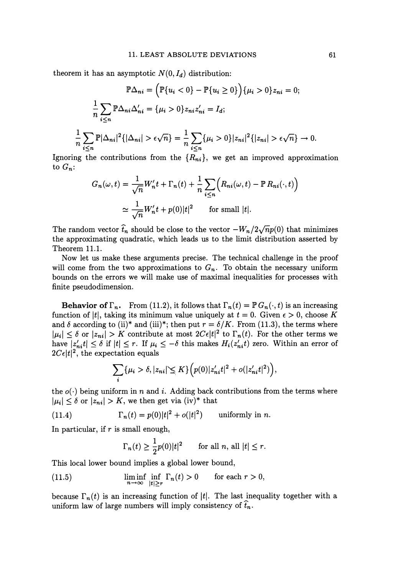theorem it has an asymptotic  $N(0, I_d)$  distribution:

$$
\mathbb{P}\Delta_{ni} = \left(\mathbb{P}\{u_i < 0\} - \mathbb{P}\{u_i \ge 0\}\right) \{\mu_i > 0\} z_{ni} = 0; \\
\frac{1}{n} \sum_{i \le n} \mathbb{P}\Delta_{ni} \Delta'_{ni} = \{\mu_i > 0\} z_{ni} z'_{ni} = I_d; \\
\frac{1}{n} \sum_{i \le n} \mathbb{P}|\Delta_{ni}|^2 \{|\Delta_{ni}| > \epsilon \sqrt{n}\} = \frac{1}{n} \sum_{i \le n} \{\mu_i > 0\} |z_{ni}|^2 \{|z_{ni}| > \epsilon \sqrt{n}\} \to 0.
$$

Ignoring the contributions from the  $\{R_{ni}\}\$ , we get an improved approximation to *Gn:* 

$$
G_n(\omega, t) = \frac{1}{\sqrt{n}} W'_n t + \Gamma_n(t) + \frac{1}{n} \sum_{i \le n} \left( R_{ni}(\omega, t) - \mathbb{P} R_{ni}(\cdot, t) \right)
$$

$$
\simeq \frac{1}{\sqrt{n}} W'_n t + p(0) |t|^2 \quad \text{for small } |t|.
$$

The random vector  $\hat{t}_n$  should be close to the vector  $-W_n/2\sqrt{n}p(0)$  that minimizes the approximating quadratic, which leads us to the limit distribution asserted by Theorem 11.1.

Now let us make these arguments precise. The technical challenge in the proof will come from the two approximations to  $G_n$ . To obtain the necessary uniform bounds on the errors we will make use of maximal inequalities for processes with finite pseudodimension.

**Behavior of**  $\Gamma_n$ . From (11.2), it follows that  $\Gamma_n(t) = \mathbb{P} G_n(\cdot, t)$  is an increasing function of |t|, taking its minimum value uniquely at  $t = 0$ . Given  $\epsilon > 0$ , choose K and  $\delta$  according to (ii)<sup>\*</sup> and (iii)<sup>\*</sup>; then put  $r = \delta/K$ . From (11.3), the terms where  $|\mu_i| \leq \delta$  or  $|z_{ni}| > K$  contribute at most  $2C\epsilon|t|^2$  to  $\Gamma_n(t)$ . For the other terms we have  $|z'_{ni}t| \leq \delta$  if  $|t| \leq r$ . If  $\mu_i \leq -\delta$  this makes  $H_i(z'_{ni}t)$  zero. Within an error of  $2C\epsilon|t|^2$ , the expectation equals

$$
\sum_{i} {\{\mu_i > \delta, |z_{ni}| \le K\}} \Big(p(0) |z'_{ni}t|^2 + o(|z'_{ni}t|^2)\Big),
$$

the  $o(\cdot)$  being uniform in n and i. Adding back contributions from the terms where  $|\mu_i| \leq \delta$  or  $|z_{ni}| > K$ , we then get via (iv)<sup>\*</sup> that

(11.4) 
$$
\Gamma_n(t) = p(0)|t|^2 + o(|t|^2) \quad \text{uniformly in } n.
$$

In particular, if  $r$  is small enough,

$$
\Gamma_n(t) \ge \frac{1}{2}p(0)|t|^2 \quad \text{for all } n, \text{ all } |t| \le r.
$$

This local lower bound implies a global lower bound,

(11.5) 
$$
\liminf_{n \to \infty} \inf_{|t| \ge r} \Gamma_n(t) > 0 \quad \text{for each } r > 0,
$$

because  $\Gamma_n(t)$  is an increasing function of |t|. The last inequality together with a uniform law of large numbers will imply consistency of  $\hat{t}_n$ .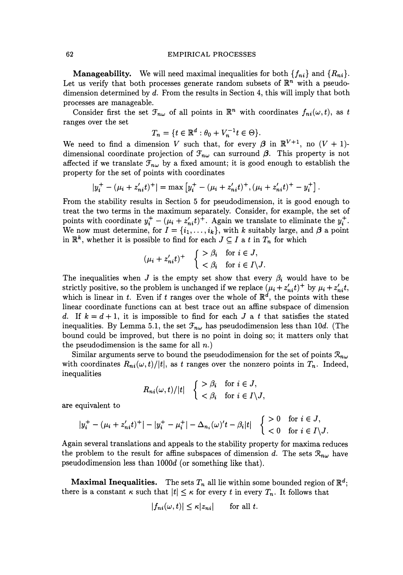**Manageability.** We will need maximal inequalities for both  $\{f_{ni}\}\$  and  $\{R_{ni}\}\$ . Let us verify that both processes generate random subsets of  $\mathbb{R}^n$  with a pseudodimension determined by  $d$ . From the results in Section 4, this will imply that both processes are manageable.

Consider first the set  $\mathcal{F}_{n\omega}$  of all points in  $\mathbb{R}^n$  with coordinates  $f_{ni}(\omega, t)$ , as t ranges over the set

$$
T_n = \{ t \in \mathbb{R}^d : \theta_0 + V_n^{-1} t \in \Theta \}.
$$

We need to find a dimension V such that, for every  $\beta$  in  $\mathbb{R}^{V+1}$ , no  $(V + 1)$ dimensional coordinate projection of  $\mathcal{F}_{n\omega}$  can surround  $\beta$ . This property is not affected if we translate  $\mathcal{F}_{n\omega}$  by a fixed amount; it is good enough to establish the property for the set of points with coordinates

$$
|y_i^+ - (\mu_i + z'_{ni}t)^+| = \max [y_i^+ - (\mu_i + z'_{ni}t)^+, (\mu_i + z'_{ni}t)^+ - y_i^+].
$$

From the stability results in Section 5 for pseudodimension, it is good enough to treat the two terms in the maximum separately. Consider, for example, the set of points with coordinate  $y_i^+ - (\mu_i + z'_{ni}t)^+$ . Again we translate to eliminate the  $y_i^+$ . We now must determine, for  $I = \{i_1, \ldots, i_k\}$ , with *k* suitably large, and  $\beta$  a point in  $\mathbb{R}^k$ , whether it is possible to find for each  $J \subseteq I$  a t in  $T_n$  for which

$$
(\mu_i + z'_{ni}t)^+ \quad \left\{ \begin{array}{ll} > \beta_i & \text{for } i \in J, \\ < \beta_i & \text{for } i \in I \backslash J. \end{array} \right.
$$

The inequalities when *J* is the empty set show that every  $\beta_i$  would have to be strictly positive, so the problem is unchanged if we replace  $(\mu_i + z'_{ni}t)^+$  by  $\mu_i + z'_{ni}t$ , which is linear in t. Even if t ranges over the whole of  $\mathbb{R}^d$ , the points with these linear coordinate functions can at best trace out an affine subspace of dimension d. If  $k = d + 1$ , it is impossible to find for each *J* a t that satisfies the stated inequalities. By Lemma 5.1, the set  $\mathcal{F}_{n\omega}$  has pseudodimension less than 10d. (The bound could be improved, but there is no point in doing so; it matters only that the pseudodimension is the same for all  $n$ .)

Similar arguments serve to bound the pseudodimension for the set of points  $\mathcal{R}_{n\omega}$ with coordinates  $R_{ni}(\omega, t)/|t|$ , as t ranges over the nonzero points in  $T_n$ . Indeed, inequalities

$$
R_{ni}(\omega, t)/|t| \quad \begin{cases} > \beta_i \quad \text{for } i \in J, \\ < \beta_i \quad \text{for } i \in I \setminus J, \end{cases}
$$

are equivalent to

$$
|y_i^+ - (\mu_i + z'_{ni}t)^+| - |y_i^+ - \mu_i^+| - \Delta_{n_i}(\omega)'t - \beta_i|t| \quad \begin{cases} > 0 & \text{for } i \in J, \\ < 0 & \text{for } i \in I \setminus J. \end{cases}
$$

Again several translations and appeals to the stability property for maxima reduces the problem to the result for affine subspaces of dimension d. The sets  $\mathcal{R}_{n\omega}$  have pseudodimension less than *lOOOd* (or something like that).

**Maximal Inequalities.** The sets  $T_n$  all lie within some bounded region of  $\mathbb{R}^d$ ; there is a constant  $\kappa$  such that  $|t| \leq \kappa$  for every t in every  $T_n$ . It follows that

$$
|f_{ni}(\omega, t)| \le \kappa |z_{ni}| \quad \text{for all } t.
$$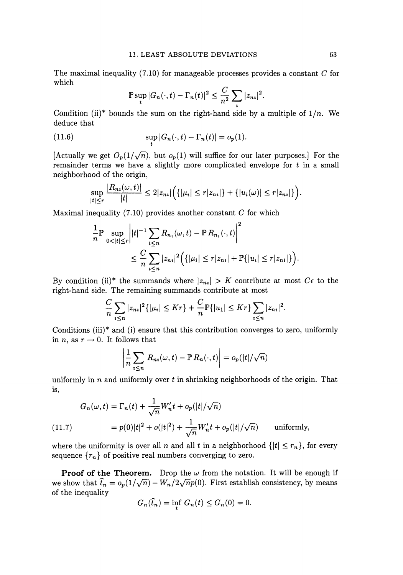The maximal inequality  $(7.10)$  for manageable processes provides a constant C for which

$$
\mathbb{P}\sup_{t}|G_n(\cdot,t)-\Gamma_n(t)|^2\leq \frac{C}{n^2}\sum_{i}|z_{ni}|^2.
$$

Condition (ii)\* bounds the sum on the right-hand side by a multiple of  $1/n$ . We deduce that

(11.6) 
$$
\sup_t |G_n(\cdot,t)-\Gamma_n(t)|=o_p(1).
$$

[Actually we get  $O_p(1/\sqrt{n})$ , but  $o_p(1)$  will suffice for our later purposes.] For the remainder terms we have a slightly more complicated envelope for  $t$  in a small neighborhood of the origin,

$$
\sup_{|t|\leq r}\frac{|R_{n_i}(\omega,t)|}{|t|}\leq 2|z_{n_i}|\Big(\{|\mu_i|\leq r|z_{n_i}|\}+\{|u_i(\omega)|\leq r|z_{n_i}|\}\Big).
$$

Maximal inequality (7.10) provides another constant *C* for which

$$
\frac{1}{n} \mathbb{P} \sup_{0 < |t| \le r} \left| |t|^{-1} \sum_{i \le n} R_{n_i}(\omega, t) - \mathbb{P} R_{n_i}(\cdot, t) \right|^2 \\
\le \frac{C}{n} \sum_{i \le n} |z_{n_i}|^2 \Big( \{ |\mu_i| \le r |z_{n_i}| + \mathbb{P} \{ |u_i| \le r |z_{n_i}|\} \Big).
$$

By condition (ii)\* the summands where  $|z_{ni}| > K$  contribute at most  $C\epsilon$  to the right-hand side. The remaining summands contribute at most

$$
\frac{C}{n}\sum_{i\leq n}|z_{ni}|^2\{|\mu_i|\leq Kr\}+\frac{C}{n}\mathbb{P}\{|u_1|\leq Kr\}\sum_{i\leq n}|z_{ni}|^2.
$$

Conditions  $(iii)^*$  and  $(i)$  ensure that this contribution converges to zero, uniformly in *n*, as  $r \rightarrow 0$ . It follows that

$$
\left|\frac{1}{n}\sum_{i\leq n}R_{ni}(\omega,t)-\mathbb{P}\left.R_n(\cdot,t)\right|\right|=o_p(|t|/\sqrt{n})
$$

uniformly in n and uniformly over t in shrinking neighborhoods of the origin. That is,

(11.7) 
$$
G_n(\omega, t) = \Gamma_n(t) + \frac{1}{\sqrt{n}} W'_n t + o_p(|t|/\sqrt{n})
$$

$$
= p(0)|t|^2 + o(|t|^2) + \frac{1}{\sqrt{n}} W'_n t + o_p(|t|/\sqrt{n}) \quad \text{uniformly},
$$

where the uniformity is over all n and all t in a neighborhood  $\{|t| \leq r_n\}$ , for every sequence  ${r_n}$  of positive real numbers converging to zero.

**Proof of the Theorem.** Drop the  $\omega$  from the notation. It will be enough if we show that  $\hat{t}_n = o_p(1/\sqrt{n}) - W_n/2\sqrt{n}p(0)$ . First establish consistency, by means of the inequality

$$
G_n(\widehat{t}_n) = \inf_t G_n(t) \le G_n(0) = 0.
$$